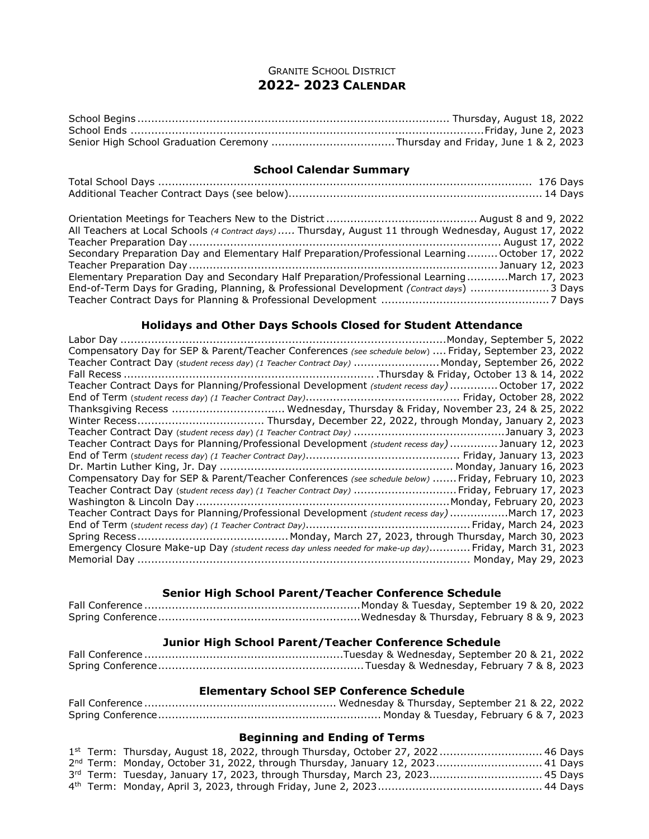## GRANITE SCHOOL DISTRICT **2022- 2023 CALENDAR**

## **School Calendar Summary**

| All Teachers at Local Schools (4 Contract days)  Thursday, August 11 through Wednesday, August 17, 2022 |  |
|---------------------------------------------------------------------------------------------------------|--|
|                                                                                                         |  |
| Secondary Preparation Day and Elementary Half Preparation/Professional Learning October 17, 2022        |  |
|                                                                                                         |  |
| Elementary Preparation Day and Secondary Half Preparation/Professional LearningMarch 17, 2023           |  |
| End-of-Term Days for Grading, Planning, & Professional Development (Contract days) 3 Days               |  |
|                                                                                                         |  |

## **Holidays and Other Days Schools Closed for Student Attendance**

| Compensatory Day for SEP & Parent/Teacher Conferences (see schedule below)  Friday, September 23, 2022  |
|---------------------------------------------------------------------------------------------------------|
| Teacher Contract Day (student recess day) (1 Teacher Contract Day)  Monday, September 26, 2022          |
|                                                                                                         |
| Teacher Contract Days for Planning/Professional Development (student recess day)  October 17, 2022      |
|                                                                                                         |
| Thanksgiving Recess  Wednesday, Thursday & Friday, November 23, 24 & 25, 2022                           |
|                                                                                                         |
|                                                                                                         |
| Teacher Contract Days for Planning/Professional Development (student recess day)  January 12, 2023      |
|                                                                                                         |
|                                                                                                         |
| Compensatory Day for SEP & Parent/Teacher Conferences (see schedule below)  Friday, February 10, 2023   |
| Teacher Contract Day (student recess day) (1 Teacher Contract Day)  Friday, February 17, 2023           |
|                                                                                                         |
| Teacher Contract Days for Planning/Professional Development (student recess day) March 17, 2023         |
|                                                                                                         |
|                                                                                                         |
| Emergency Closure Make-up Day (student recess day unless needed for make-up day) Friday, March 31, 2023 |
|                                                                                                         |
|                                                                                                         |

## **Senior High School Parent/Teacher Conference Schedule**

## **Junior High School Parent/Teacher Conference Schedule**

## **Elementary School SEP Conference Schedule**

# **Beginning and Ending of Terms**

|  | 1st Term: Thursday, August 18, 2022, through Thursday, October 27, 2022 46 Days            |  |
|--|--------------------------------------------------------------------------------------------|--|
|  | 2 <sup>nd</sup> Term: Monday, October 31, 2022, through Thursday, January 12, 2023 41 Days |  |
|  | 3rd Term: Tuesday, January 17, 2023, through Thursday, March 23, 2023 45 Days              |  |
|  |                                                                                            |  |